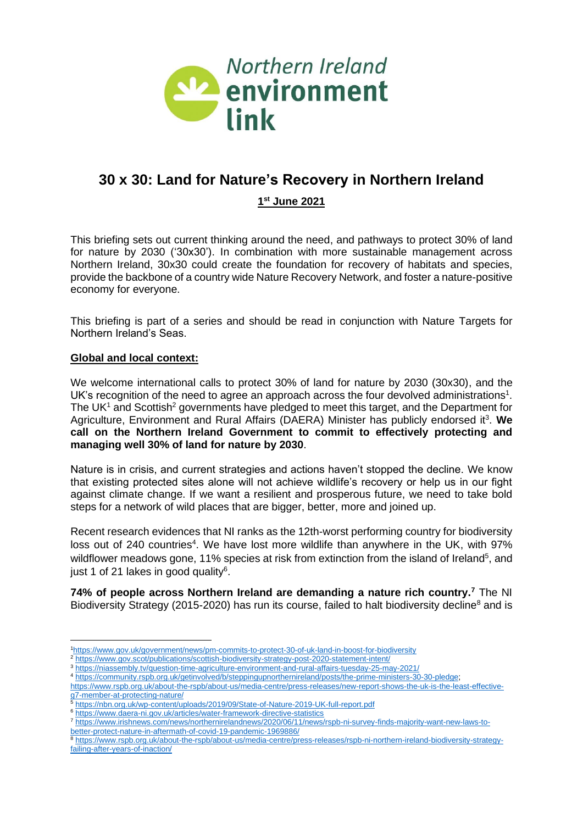

# **30 x 30: Land for Nature's Recovery in Northern Ireland**

## **1 st June 2021**

This briefing sets out current thinking around the need, and pathways to protect 30% of land for nature by 2030 ('30x30'). In combination with more sustainable management across Northern Ireland, 30x30 could create the foundation for recovery of habitats and species, provide the backbone of a country wide Nature Recovery Network, and foster a nature-positive economy for everyone.

This briefing is part of a series and should be read in conjunction with Nature Targets for Northern Ireland's Seas.

### **Global and local context:**

We welcome international calls to protect 30% of land for nature by 2030 (30x30), and the UK's recognition of the need to agree an approach across the four devolved administrations<sup>1</sup>. The UK<sup>1</sup> and Scottish<sup>2</sup> governments have pledged to meet this target, and the Department for Agriculture, Environment and Rural Affairs (DAERA) Minister has publicly endorsed it<sup>3</sup>. We **call on the Northern Ireland Government to commit to effectively protecting and managing well 30% of land for nature by 2030**.

Nature is in crisis, and current strategies and actions haven't stopped the decline. We know that existing protected sites alone will not achieve wildlife's recovery or help us in our fight against climate change. If we want a resilient and prosperous future, we need to take bold steps for a network of wild places that are bigger, better, more and joined up.

Recent research evidences that NI ranks as the 12th-worst performing country for biodiversity loss out of 240 countries<sup>4</sup>. We have lost more wildlife than anywhere in the UK, with 97% wildflower meadows gone, 11% species at risk from extinction from the island of Ireland<sup>5</sup>, and just 1 of 21 lakes in good quality<sup>6</sup>.

**74% of people across Northern Ireland are demanding a nature rich country.<sup>7</sup>** The NI Biodiversity Strategy (2015-2020) has run its course, failed to halt biodiversity decline<sup>8</sup> and is

<sup>1</sup><https://www.gov.uk/government/news/pm-commits-to-protect-30-of-uk-land-in-boost-for-biodiversity>

<https://www.gov.scot/publications/scottish-biodiversity-strategy-post-2020-statement-intent/>

<sup>3</sup> <https://niassembly.tv/question-time-agriculture-environment-and-rural-affairs-tuesday-25-may-2021/>

<sup>4</sup> [https://community.rspb.org.uk/getinvolved/b/steppingupnorthernireland/posts/the-prime-ministers-30-30-pledge;](https://community.rspb.org.uk/getinvolved/b/steppingupnorthernireland/posts/the-prime-ministers-30-30-pledge) 

[https://www.rspb.org.uk/about-the-rspb/about-us/media-centre/press-releases/new-report-shows-the-uk-is-the-least-effective](https://www.rspb.org.uk/about-the-rspb/about-us/media-centre/press-releases/new-report-shows-the-uk-is-the-least-effective-g7-member-at-protecting-nature/)[g7-member-at-protecting-nature/](https://www.rspb.org.uk/about-the-rspb/about-us/media-centre/press-releases/new-report-shows-the-uk-is-the-least-effective-g7-member-at-protecting-nature/)

<https://nbn.org.uk/wp-content/uploads/2019/09/State-of-Nature-2019-UK-full-report.pdf>

<sup>6</sup> <https://www.daera-ni.gov.uk/articles/water-framework-directive-statistics>

<sup>7</sup> [https://www.irishnews.com/news/northernirelandnews/2020/06/11/news/rspb-ni-survey-finds-majority-want-new-laws-to](https://www.irishnews.com/news/northernirelandnews/2020/06/11/news/rspb-ni-survey-finds-majority-want-new-laws-to-better-protect-nature-in-aftermath-of-covid-19-pandemic-1969886/)[better-protect-nature-in-aftermath-of-covid-19-pandemic-1969886/](https://www.irishnews.com/news/northernirelandnews/2020/06/11/news/rspb-ni-survey-finds-majority-want-new-laws-to-better-protect-nature-in-aftermath-of-covid-19-pandemic-1969886/)

<sup>8</sup> [https://www.rspb.org.uk/about-the-rspb/about-us/media-centre/press-releases/rspb-ni-northern-ireland-biodiversity-strategy](https://www.rspb.org.uk/about-the-rspb/about-us/media-centre/press-releases/rspb-ni-northern-ireland-biodiversity-strategy-failing-after-years-of-inaction/)[failing-after-years-of-inaction/](https://www.rspb.org.uk/about-the-rspb/about-us/media-centre/press-releases/rspb-ni-northern-ireland-biodiversity-strategy-failing-after-years-of-inaction/)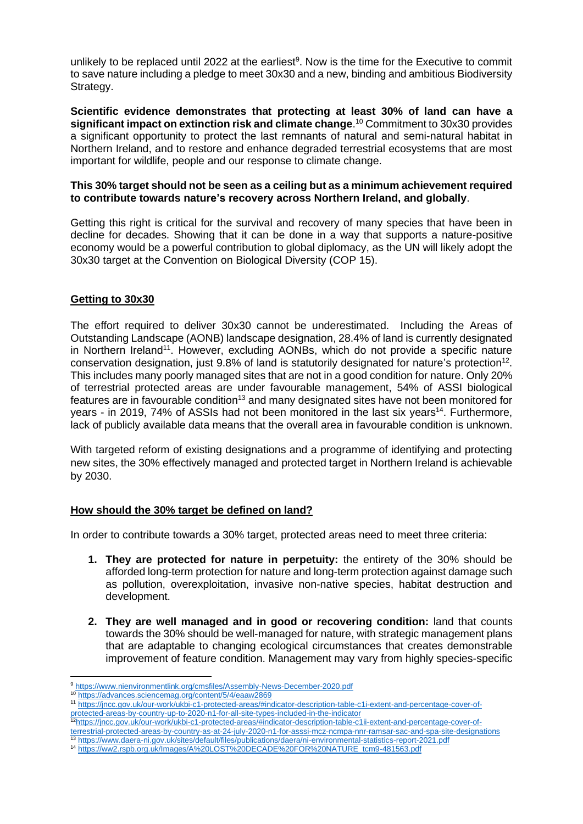unlikely to be replaced until 2022 at the earliest<sup>9</sup>. Now is the time for the Executive to commit to save nature including a pledge to meet 30x30 and a new, binding and ambitious Biodiversity Strategy.

**Scientific evidence demonstrates that protecting at least 30% of land can have a significant impact on extinction risk and climate change**. <sup>10</sup> Commitment to 30x30 provides a significant opportunity to protect the last remnants of natural and semi-natural habitat in Northern Ireland, and to restore and enhance degraded terrestrial ecosystems that are most important for wildlife, people and our response to climate change.

#### **This 30% target should not be seen as a ceiling but as a minimum achievement required to contribute towards nature's recovery across Northern Ireland, and globally**.

Getting this right is critical for the survival and recovery of many species that have been in decline for decades. Showing that it can be done in a way that supports a nature-positive economy would be a powerful contribution to global diplomacy, as the UN will likely adopt the 30x30 target at the Convention on Biological Diversity (COP 15).

### **Getting to 30x30**

The effort required to deliver 30x30 cannot be underestimated. Including the Areas of Outstanding Landscape (AONB) landscape designation, 28.4% of land is currently designated in Northern Ireland<sup>11</sup>. However, excluding AONBs, which do not provide a specific nature conservation designation, just  $9.8\%$  of land is statutorily designated for nature's protection<sup>12</sup>. This includes many poorly managed sites that are not in a good condition for nature. Only 20% of terrestrial protected areas are under favourable management, 54% of ASSI biological features are in favourable condition<sup>13</sup> and many designated sites have not been monitored for years - in 2019, 74% of ASSIs had not been monitored in the last six years<sup>14</sup>. Furthermore, lack of publicly available data means that the overall area in favourable condition is unknown.

With targeted reform of existing designations and a programme of identifying and protecting new sites, the 30% effectively managed and protected target in Northern Ireland is achievable by 2030.

### **How should the 30% target be defined on land?**

In order to contribute towards a 30% target, protected areas need to meet three criteria:

- **1. They are protected for nature in perpetuity:** the entirety of the 30% should be afforded long-term protection for nature and long-term protection against damage such as pollution, overexploitation, invasive non-native species, habitat destruction and development.
- **2. They are well managed and in good or recovering condition:** land that counts towards the 30% should be well-managed for nature, with strategic management plans that are adaptable to changing ecological circumstances that creates demonstrable improvement of feature condition. Management may vary from highly species-specific

<sup>9</sup> <https://www.nienvironmentlink.org/cmsfiles/Assembly-News-December-2020.pdf>

<sup>10</sup> <https://advances.sciencemag.org/content/5/4/eaaw2869>

<sup>11</sup> [https://jncc.gov.uk/our-work/ukbi-c1-protected-areas/#indicator-description-table-c1i-extent-and-percentage-cover-of](https://jncc.gov.uk/our-work/ukbi-c1-protected-areas/#indicator-description-table-c1i-extent-and-percentage-cover-of-protected-areas-by-country-up-to-2020-n1-for-all-site-types-included-in-the-indicator)[protected-areas-by-country-up-to-2020-n1-for-all-site-types-included-in-the-indicator](https://jncc.gov.uk/our-work/ukbi-c1-protected-areas/#indicator-description-table-c1i-extent-and-percentage-cover-of-protected-areas-by-country-up-to-2020-n1-for-all-site-types-included-in-the-indicator)

<sup>12</sup>[https://jncc.gov.uk/our-work/ukbi-c1-protected-areas/#indicator-description-table-c1ii-extent-and-percentage-cover-of](https://jncc.gov.uk/our-work/ukbi-c1-protected-areas/#indicator-description-table-c1ii-extent-and-percentage-cover-of-terrestrial-protected-areas-by-country-as-at-24-july-2020-n1-for-asssi-mcz-ncmpa-nnr-ramsar-sac-and-spa-site-designations)[terrestrial-protected-areas-by-country-as-at-24-july-2020-n1-for-asssi-mcz-ncmpa-nnr-ramsar-sac-and-spa-site-designations](https://jncc.gov.uk/our-work/ukbi-c1-protected-areas/#indicator-description-table-c1ii-extent-and-percentage-cover-of-terrestrial-protected-areas-by-country-as-at-24-july-2020-n1-for-asssi-mcz-ncmpa-nnr-ramsar-sac-and-spa-site-designations) <sup>13</sup> <https://www.daera-ni.gov.uk/sites/default/files/publications/daera/ni-environmental-statistics-report-2021.pdf>

<sup>14</sup> [https://ww2.rspb.org.uk/Images/A%20LOST%20DECADE%20FOR%20NATURE\\_tcm9-481563.pdf](https://ww2.rspb.org.uk/Images/A%20LOST%20DECADE%20FOR%20NATURE_tcm9-481563.pdf)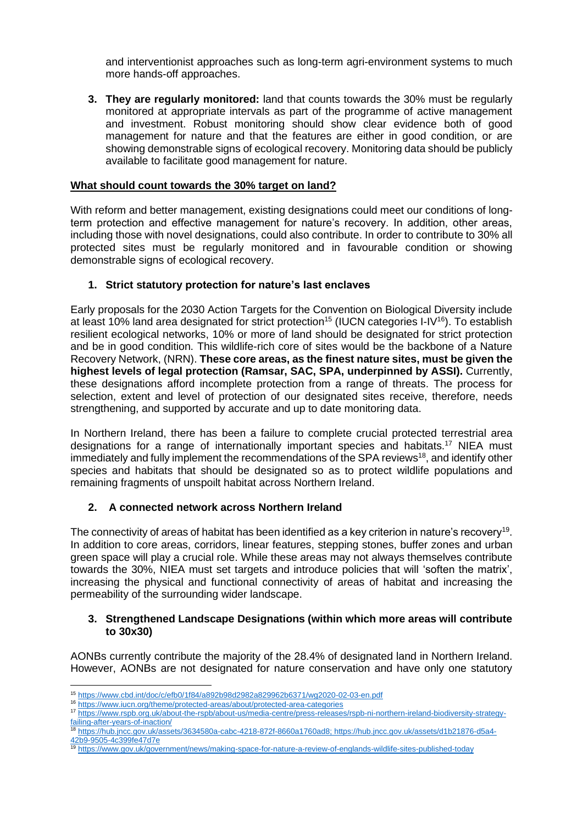and interventionist approaches such as long-term agri-environment systems to much more hands-off approaches.

**3. They are regularly monitored:** land that counts towards the 30% must be regularly monitored at appropriate intervals as part of the programme of active management and investment. Robust monitoring should show clear evidence both of good management for nature and that the features are either in good condition, or are showing demonstrable signs of ecological recovery. Monitoring data should be publicly available to facilitate good management for nature.

#### **What should count towards the 30% target on land?**

With reform and better management, existing designations could meet our conditions of longterm protection and effective management for nature's recovery. In addition, other areas, including those with novel designations, could also contribute. In order to contribute to 30% all protected sites must be regularly monitored and in favourable condition or showing demonstrable signs of ecological recovery.

### **1. Strict statutory protection for nature's last enclaves**

Early proposals for the 2030 Action Targets for the Convention on Biological Diversity include at least 10% land area designated for strict protection<sup>15</sup> (IUCN categories I-IV<sup>16</sup>). To establish resilient ecological networks, 10% or more of land should be designated for strict protection and be in good condition. This wildlife-rich core of sites would be the backbone of a Nature Recovery Network, (NRN). **These core areas, as the finest nature sites, must be given the highest levels of legal protection (Ramsar, SAC, SPA, underpinned by ASSI).** Currently, these designations afford incomplete protection from a range of threats. The process for selection, extent and level of protection of our designated sites receive, therefore, needs strengthening, and supported by accurate and up to date monitoring data.

In Northern Ireland, there has been a failure to complete crucial protected terrestrial area designations for a range of internationally important species and habitats.<sup>17</sup> NIEA must immediately and fully implement the recommendations of the SPA reviews<sup>18</sup>, and identify other species and habitats that should be designated so as to protect wildlife populations and remaining fragments of unspoilt habitat across Northern Ireland.

### **2. A connected network across Northern Ireland**

The connectivity of areas of habitat has been identified as a key criterion in nature's recovery<sup>19</sup>. In addition to core areas, corridors, linear features, stepping stones, buffer zones and urban green space will play a crucial role. While these areas may not always themselves contribute towards the 30%, NIEA must set targets and introduce policies that will 'soften the matrix', increasing the physical and functional connectivity of areas of habitat and increasing the permeability of the surrounding wider landscape.

#### **3. Strengthened Landscape Designations (within which more areas will contribute to 30x30)**

AONBs currently contribute the majority of the 28.4% of designated land in Northern Ireland. However, AONBs are not designated for nature conservation and have only one statutory

<sup>15</sup> <https://www.cbd.int/doc/c/efb0/1f84/a892b98d2982a829962b6371/wg2020-02-03-en.pdf>

<sup>16</sup> <https://www.iucn.org/theme/protected-areas/about/protected-area-categories>

<sup>17</sup> [https://www.rspb.org.uk/about-the-rspb/about-us/media-centre/press-releases/rspb-ni-northern-ireland-biodiversity-strategy](https://www.rspb.org.uk/about-the-rspb/about-us/media-centre/press-releases/rspb-ni-northern-ireland-biodiversity-strategy-failing-after-years-of-inaction/)[failing-after-years-of-inaction/](https://www.rspb.org.uk/about-the-rspb/about-us/media-centre/press-releases/rspb-ni-northern-ireland-biodiversity-strategy-failing-after-years-of-inaction/)

<sup>18</sup> [https://hub.jncc.gov.uk/assets/3634580a-cabc-4218-872f-8660a1760ad8;](https://hub.jncc.gov.uk/assets/3634580a-cabc-4218-872f-8660a1760ad8) [https://hub.jncc.gov.uk/assets/d1b21876-d5a4-](https://hub.jncc.gov.uk/assets/d1b21876-d5a4-42b9-9505-4c399fe47d7e) [42b9-9505-4c399fe47d7e](https://hub.jncc.gov.uk/assets/d1b21876-d5a4-42b9-9505-4c399fe47d7e)

<sup>19</sup> <https://www.gov.uk/government/news/making-space-for-nature-a-review-of-englands-wildlife-sites-published-today>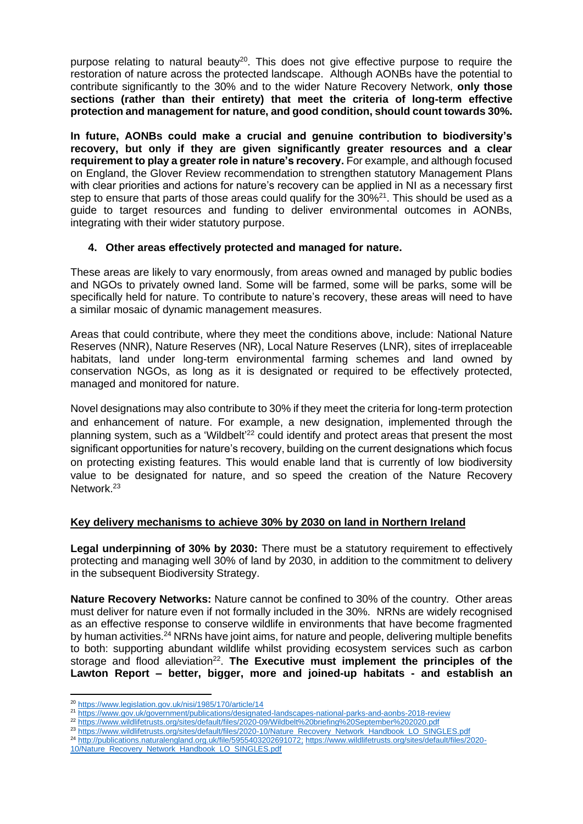purpose relating to natural beauty<sup>20</sup>. This does not give effective purpose to require the restoration of nature across the protected landscape. Although AONBs have the potential to contribute significantly to the 30% and to the wider Nature Recovery Network, **only those sections (rather than their entirety) that meet the criteria of long-term effective protection and management for nature, and good condition, should count towards 30%.**

**In future, AONBs could make a crucial and genuine contribution to biodiversity's recovery, but only if they are given significantly greater resources and a clear requirement to play a greater role in nature's recovery.** For example, and although focused on England, the Glover Review recommendation to strengthen statutory Management Plans with clear priorities and actions for nature's recovery can be applied in NI as a necessary first step to ensure that parts of those areas could qualify for the 30%<sup>21</sup>. This should be used as a guide to target resources and funding to deliver environmental outcomes in AONBs, integrating with their wider statutory purpose.

### **4. Other areas effectively protected and managed for nature.**

These areas are likely to vary enormously, from areas owned and managed by public bodies and NGOs to privately owned land. Some will be farmed, some will be parks, some will be specifically held for nature. To contribute to nature's recovery, these areas will need to have a similar mosaic of dynamic management measures.

Areas that could contribute, where they meet the conditions above, include: National Nature Reserves (NNR), Nature Reserves (NR), Local Nature Reserves (LNR), sites of irreplaceable habitats, land under long-term environmental farming schemes and land owned by conservation NGOs, as long as it is designated or required to be effectively protected, managed and monitored for nature.

Novel designations may also contribute to 30% if they meet the criteria for long-term protection and enhancement of nature. For example, a new designation, implemented through the planning system, such as a 'Wildbelt<sup>'22</sup> could identify and protect areas that present the most significant opportunities for nature's recovery, building on the current designations which focus on protecting existing features. This would enable land that is currently of low biodiversity value to be designated for nature, and so speed the creation of the Nature Recovery Network.<sup>23</sup>

### **Key delivery mechanisms to achieve 30% by 2030 on land in Northern Ireland**

**Legal underpinning of 30% by 2030:** There must be a statutory requirement to effectively protecting and managing well 30% of land by 2030, in addition to the commitment to delivery in the subsequent Biodiversity Strategy.

**Nature Recovery Networks:** Nature cannot be confined to 30% of the country. Other areas must deliver for nature even if not formally included in the 30%. NRNs are widely recognised as an effective response to conserve wildlife in environments that have become fragmented by human activities.<sup>24</sup> NRNs have joint aims, for nature and people, delivering multiple benefits to both: supporting abundant wildlife whilst providing ecosystem services such as carbon storage and flood alleviation<sup>22</sup>. The Executive must implement the principles of the **Lawton Report – better, bigger, more and joined-up habitats - and establish an** 

- 21 <https://www.gov.uk/government/publications/designated-landscapes-national-parks-and-aonbs-2018-review>
- <sup>22</sup> <https://www.wildlifetrusts.org/sites/default/files/2020-09/Wildbelt%20briefing%20September%202020.pdf>
- 23 [https://www.wildlifetrusts.org/sites/default/files/2020-10/Nature\\_Recovery\\_Network\\_Handbook\\_LO\\_SINGLES.pdf](https://www.wildlifetrusts.org/sites/default/files/2020-10/Nature_Recovery_Network_Handbook_LO_SINGLES.pdf)
- <sup>24</sup> [http://publications.naturalengland.org.uk/file/5955403202691072;](http://publications.naturalengland.org.uk/file/5955403202691072) https://www.wildlifetrusts.org/sites/default/files/2020-

<sup>20</sup> <https://www.legislation.gov.uk/nisi/1985/170/article/14>

<sup>10/</sup>Nature\_Recovery\_Network\_Handbook\_LO\_SINGLES.pdf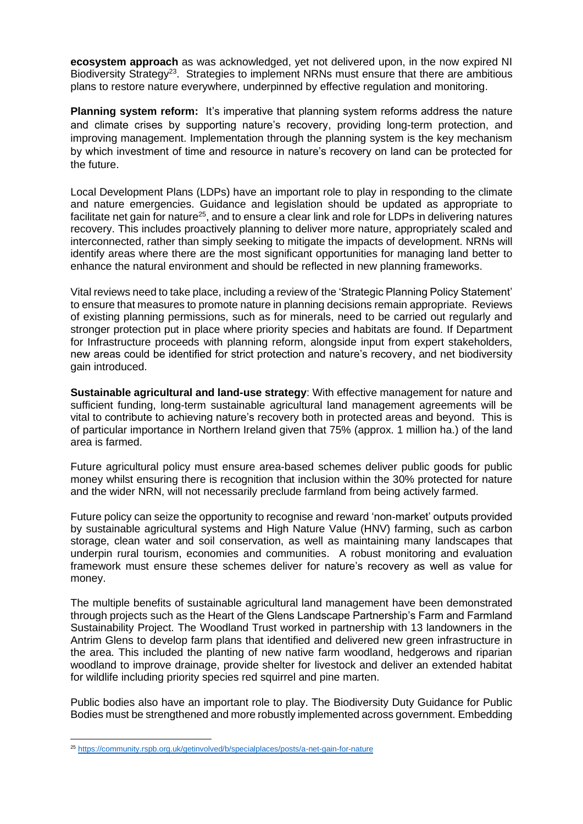**ecosystem approach** as was acknowledged, yet not delivered upon, in the now expired NI Biodiversity Strategy<sup>23</sup>. Strategies to implement NRNs must ensure that there are ambitious plans to restore nature everywhere, underpinned by effective regulation and monitoring.

**Planning system reform:** It's imperative that planning system reforms address the nature and climate crises by supporting nature's recovery, providing long-term protection, and improving management. Implementation through the planning system is the key mechanism by which investment of time and resource in nature's recovery on land can be protected for the future.

Local Development Plans (LDPs) have an important role to play in responding to the climate and nature emergencies. Guidance and legislation should be updated as appropriate to facilitate net gain for nature<sup>25</sup>, and to ensure a clear link and role for LDPs in delivering natures recovery. This includes proactively planning to deliver more nature, appropriately scaled and interconnected, rather than simply seeking to mitigate the impacts of development. NRNs will identify areas where there are the most significant opportunities for managing land better to enhance the natural environment and should be reflected in new planning frameworks.

Vital reviews need to take place, including a review of the 'Strategic Planning Policy Statement' to ensure that measures to promote nature in planning decisions remain appropriate. Reviews of existing planning permissions, such as for minerals, need to be carried out regularly and stronger protection put in place where priority species and habitats are found. If Department for Infrastructure proceeds with planning reform, alongside input from expert stakeholders, new areas could be identified for strict protection and nature's recovery, and net biodiversity gain introduced.

**Sustainable agricultural and land-use strategy**: With effective management for nature and sufficient funding, long-term sustainable agricultural land management agreements will be vital to contribute to achieving nature's recovery both in protected areas and beyond. This is of particular importance in Northern Ireland given that 75% (approx. 1 million ha.) of the land area is farmed.

Future agricultural policy must ensure area-based schemes deliver public goods for public money whilst ensuring there is recognition that inclusion within the 30% protected for nature and the wider NRN, will not necessarily preclude farmland from being actively farmed.

Future policy can seize the opportunity to recognise and reward 'non-market' outputs provided by sustainable agricultural systems and High Nature Value (HNV) farming, such as carbon storage, clean water and soil conservation, as well as maintaining many landscapes that underpin rural tourism, economies and communities. A robust monitoring and evaluation framework must ensure these schemes deliver for nature's recovery as well as value for money.

The multiple benefits of sustainable agricultural land management have been demonstrated through projects such as the Heart of the Glens Landscape Partnership's Farm and Farmland Sustainability Project. The Woodland Trust worked in partnership with 13 landowners in the Antrim Glens to develop farm plans that identified and delivered new green infrastructure in the area. This included the planting of new native farm woodland, hedgerows and riparian woodland to improve drainage, provide shelter for livestock and deliver an extended habitat for wildlife including priority species red squirrel and pine marten.

Public bodies also have an important role to play. The Biodiversity Duty Guidance for Public Bodies must be strengthened and more robustly implemented across government. Embedding

<sup>25</sup> <https://community.rspb.org.uk/getinvolved/b/specialplaces/posts/a-net-gain-for-nature>